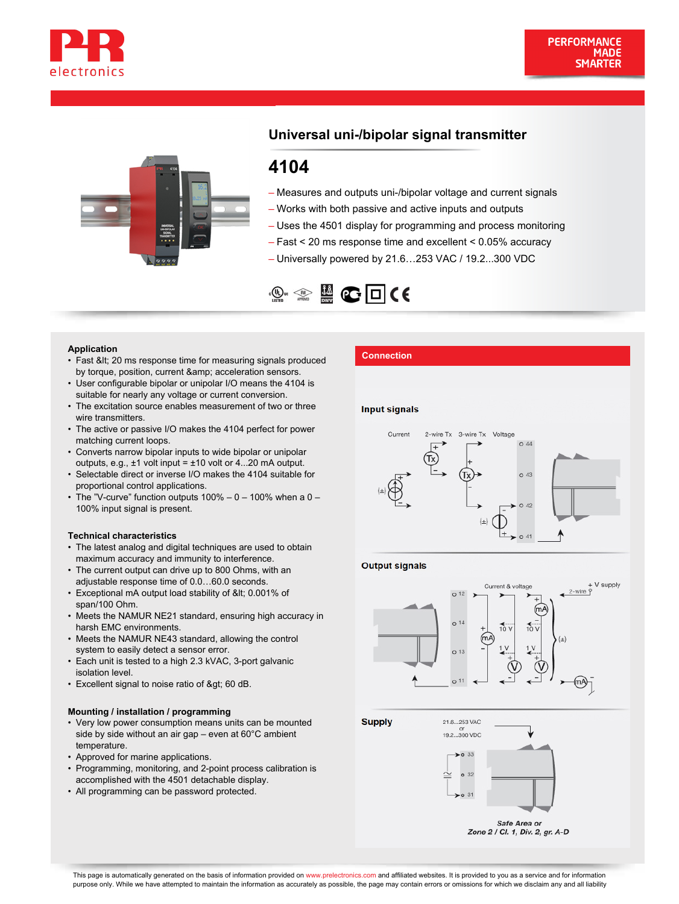



# **Universal uni-/bipolar signal transmitter**

# **4104**

- Measures and outputs uni-/bipolar voltage and current signals
- Works with both passive and active inputs and outputs
- Uses the 4501 display for programming and process monitoring
- Fast < 20 ms response time and excellent < 0.05% accuracy
- Universally powered by 21.6…253 VAC / 19.2...300 VDC



- **Application**<br>• Fast &lt; 20 ms response time for measuring signals produced **Connection** by torque, position, current & amp; acceleration sensors.
- User configurable bipolar or unipolar I/O means the 4104 is suitable for nearly any voltage or current conversion.
- The excitation source enables measurement of two or three wire transmitters.
- The active or passive I/O makes the 4104 perfect for power matching current loops.
- Converts narrow bipolar inputs to wide bipolar or unipolar outputs, e.g.,  $\pm 1$  volt input =  $\pm 10$  volt or 4...20 mA output.
- Selectable direct or inverse I/O makes the 4104 suitable for proportional control applications.
- The "V-curve" function outputs 100% 0 100% when a 0 • 100% input signal is present.

### **Technical characteristics**

- The latest analog and digital techniques are used to obtain maximum accuracy and immunity to interference.
- The current output can drive up to 800 Ohms, with an adjustable response time of 0.0…60.0 seconds.
- Exceptional mA output load stability of < 0.001% of span/100 Ohm.
- Meets the NAMUR NE21 standard, ensuring high accuracy in harsh EMC environments.
- Meets the NAMUR NE43 standard, allowing the control system to easily detect a sensor error. •
- Each unit is tested to a high 2.3 kVAC, 3-port galvanic isolation level. •
- Excellent signal to noise ratio of > 60 dB.

## **Mounting / installation / programming**

- Very low power consumption means units can be mounted side by side without an air gap – even at 60°C ambient temperature.
- Approved for marine applications.
- Programming, monitoring, and 2-point process calibration is accomplished with the 4501 detachable display.
- All programming can be password protected.

## **Input signals**



### **Output signals**



**Supply** 21.6...253 VAC 19.2...300 VDC  $\blacktriangleright$ o 33



Zone 2 / Cl. 1, Div. 2, gr. A-D

This page is automatically generated on the basis of information provided on www.prelectronics.com and affiliated websites. It is provided to you as a service and for information purpose only. While we have attempted to maintain the information as accurately as possible, the page may contain errors or omissions for which we disclaim any and all liability